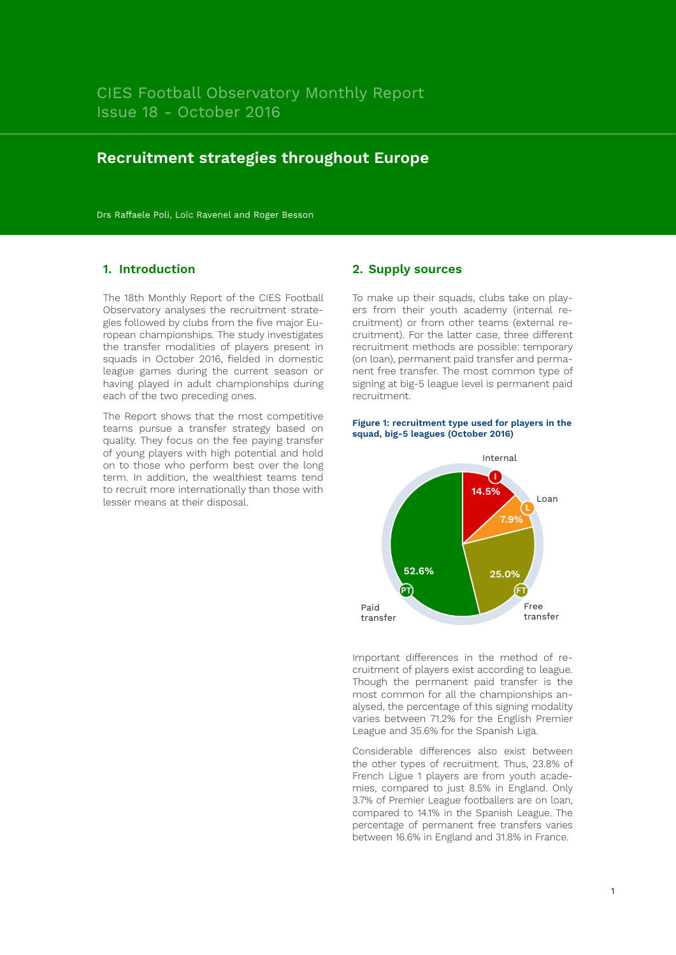# **Recruitment strategies throughout Europe**

Drs Raffaele Poli, Loïc Ravenel and Roger Besson

### **1. Introduction**

The 18th Monthly Report of the CIES Football Observatory analyses the recruitment strategies followed by clubs from the five major European championships. The study investigates the transfer modalities of players present in squads in October 2016, fielded in domestic league games during the current season or having played in adult championships during each of the two preceding ones.

The Report shows that the most competitive teams pursue a transfer strategy based on quality. They focus on the fee paying transfer of young players with high potential and hold on to those who perform best over the long term. In addition, the wealthiest teams tend to recruit more internationally than those with lesser means at their disposal.

### **2. Supply sources**

To make up their squads, clubs take on players from their youth academy (internal recruitment) or from other teams (external recruitment). For the latter case, three different recruitment methods are possible: temporary (on loan), permanent paid transfer and permanent free transfer. The most common type of signing at big-5 league level is permanent paid recruitment.





Important differences in the method of recruitment of players exist according to league. Though the permanent paid transfer is the most common for all the championships analysed, the percentage of this signing modality varies between 71.2% for the English Premier League and 35.6% for the Spanish Liga.

Considerable differences also exist between the other types of recruitment. Thus, 23.8% of French Ligue 1 players are from youth academies, compared to just 8.5% in England. Only 3.7% of Premier League footballers are on loan, compared to 14.1% in the Spanish League. The percentage of permanent free transfers varies between 16.6% in England and 31.8% in France.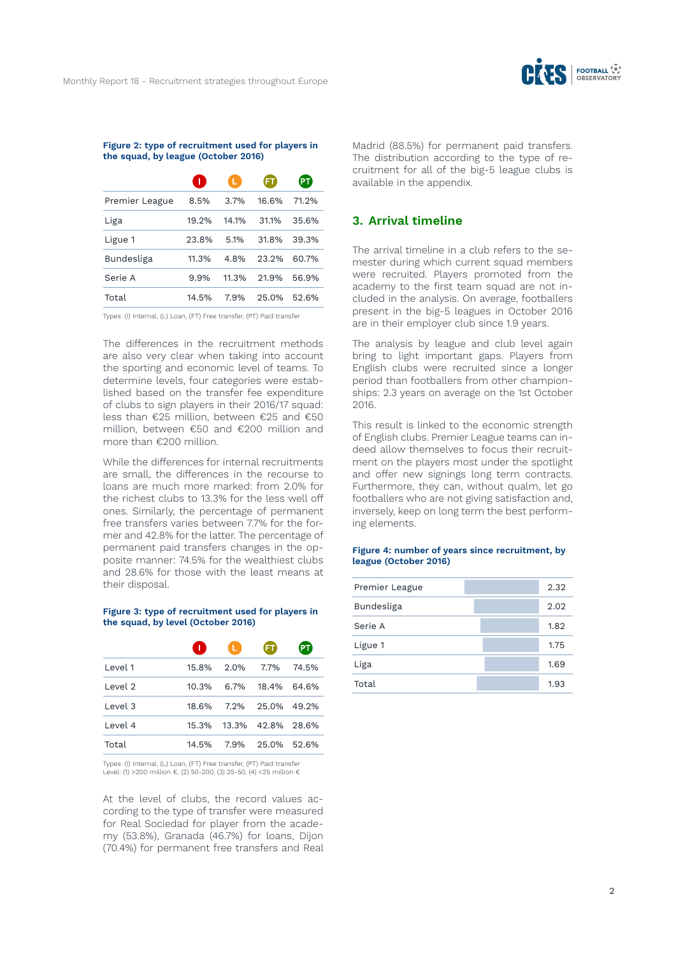

#### **Figure 2: type of recruitment used for players in the squad, by league (October 2016)**

|                |       | L.    | FΤ    |       |
|----------------|-------|-------|-------|-------|
| Premier League | 8.5%  | 3.7%  | 16.6% | 71.2% |
| Liga           | 19.2% | 14.1% | 31.1% | 35.6% |
| Ligue 1        | 23.8% | 5.1%  | 31.8% | 39.3% |
| Bundesliga     | 11.3% | 4.8%  | 23.2% | 60.7% |
| Serie A        | 9.9%  | 11.3% | 21.9% | 56.9% |
| Total          | 14.5% | 7.9%  | 25.0% | 52.6% |
|                |       |       |       |       |

Types: (I) Internal, (L) Loan, (FT) Free transfer, (PT) Paid transfer

The differences in the recruitment methods are also very clear when taking into account the sporting and economic level of teams. To determine levels, four categories were established based on the transfer fee expenditure of clubs to sign players in their 2016/17 squad: less than €25 million, between €25 and €50 million, between €50 and €200 million and more than €200 million.

While the differences for internal recruitments are small, the differences in the recourse to loans are much more marked: from 2.0% for the richest clubs to 13.3% for the less well off ones. Similarly, the percentage of permanent free transfers varies between 7.7% for the former and 42.8% for the latter. The percentage of permanent paid transfers changes in the opposite manner: 74.5% for the wealthiest clubs and 28.6% for those with the least means at their disposal.

#### **Figure 3: type of recruitment used for players in the squad, by level (October 2016)**

|         | Œ     | D         | FT.                     |       |
|---------|-------|-----------|-------------------------|-------|
| Level 1 | 15.8% | 2.0% 7.7% |                         | 74.5% |
| Level 2 | 10.3% |           | 6.7% 18.4% 64.6%        |       |
| Level 3 | 18.6% |           | 7.2% 25.0% 49.2%        |       |
| Level 4 |       |           | 15.3% 13.3% 42.8% 28.6% |       |
| Total   | 14.5% |           | 7.9% 25.0% 52.6%        |       |

Types: (I) Internal, (L) Loan, (FT) Free transfer, (PT) Paid transfer Level: (1) >200 million €, (2) 50-200, (3) 25-50, (4) <25 million €

At the level of clubs, the record values according to the type of transfer were measured for Real Sociedad for player from the academy (53.8%), Granada (46.7%) for loans, Dijon (70.4%) for permanent free transfers and Real Madrid (88.5%) for permanent paid transfers. The distribution according to the type of recruitment for all of the big-5 league clubs is available in the appendix.

### **3. Arrival timeline**

The arrival timeline in a club refers to the semester during which current squad members were recruited. Players promoted from the academy to the first team squad are not included in the analysis. On average, footballers present in the big-5 leagues in October 2016 are in their employer club since 1.9 years.

The analysis by league and club level again bring to light important gaps. Players from English clubs were recruited since a longer period than footballers from other championships: 2.3 years on average on the 1st October 2016.

This result is linked to the economic strength of English clubs. Premier League teams can indeed allow themselves to focus their recruitment on the players most under the spotlight and offer new signings long term contracts. Furthermore, they can, without qualm, let go footballers who are not giving satisfaction and, inversely, keep on long term the best performing elements.

#### **Figure 4: number of years since recruitment, by league (October 2016)**

| Premier League | 2.32 |
|----------------|------|
| Bundesliga     | 2.02 |
| Serie A        | 1.82 |
| Ligue 1        | 1.75 |
| Liga           | 1.69 |
| Total          | 1.93 |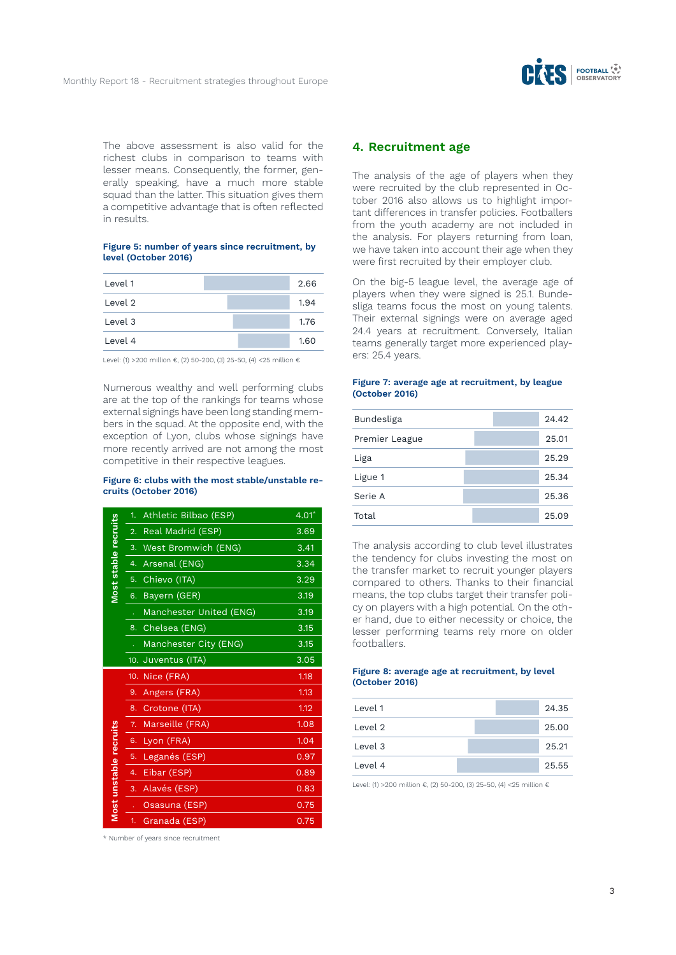

The above assessment is also valid for the richest clubs in comparison to teams with lesser means. Consequently, the former, generally speaking, have a much more stable squad than the latter. This situation gives them a competitive advantage that is often reflected in results.

#### **Figure 5: number of years since recruitment, by level (October 2016)**

| Level 1 | 2.66 |
|---------|------|
| Level 2 | 1.94 |
| Level 3 | 1.76 |
| Level 4 | 1.60 |

Level: (1) >200 million €, (2) 50-200, (3) 25-50, (4) <25 million €

Numerous wealthy and well performing clubs are at the top of the rankings for teams whose external signings have been long standing members in the squad. At the opposite end, with the exception of Lyon, clubs whose signings have more recently arrived are not among the most competitive in their respective leagues.

#### **Figure 6: clubs with the most stable/unstable recruits (October 2016)**

|                        | 1.               | Athletic Bilbao (ESP)   | $4.01*$ |
|------------------------|------------------|-------------------------|---------|
|                        | 2.               | Real Madrid (ESP)       | 3.69    |
|                        | 3.               | West Bromwich (ENG)     | 3.41    |
|                        | 4.               | Arsenal (ENG)           | 3.34    |
| Most stable recruits   | 5.               | Chievo (ITA)            | 3.29    |
|                        | 6.               | Bayern (GER)            | 3.19    |
|                        |                  | Manchester United (ENG) | 3.19    |
|                        | 8.               | Chelsea (ENG)           | 3.15    |
|                        |                  | Manchester City (ENG)   | 3.15    |
|                        |                  | 10. Juventus (ITA)      | 3.05    |
|                        |                  |                         |         |
|                        | 10.              | Nice (FRA)              | 1.18    |
|                        | 9.               | Angers (FRA)            | 1.13    |
|                        | 8.               | Crotone (ITA)           | 1.12    |
|                        | 7.               | Marseille (FRA)         | 1.08    |
|                        | 6.               | Lyon (FRA)              | 1.04    |
|                        | 5.               | Leganés (ESP)           | 0.97    |
|                        | 4.               | Eibar (ESP)             | 0.89    |
|                        | $\overline{3}$ . | Alavés (ESP)            | 0.83    |
| Most unstable recruits |                  | Osasuna (ESP)           | 0.75    |

\* Number of years since recruitment

## **4. Recruitment age**

The analysis of the age of players when they were recruited by the club represented in October 2016 also allows us to highlight important differences in transfer policies. Footballers from the youth academy are not included in the analysis. For players returning from loan, we have taken into account their age when they were first recruited by their employer club.

On the big-5 league level, the average age of players when they were signed is 25.1. Bundesliga teams focus the most on young talents. Their external signings were on average aged 24.4 years at recruitment. Conversely, Italian teams generally target more experienced players: 25.4 years.

#### **Figure 7: average age at recruitment, by league (October 2016)**

| Bundesliga     | 24.42 |
|----------------|-------|
| Premier League | 25.01 |
| Liga           | 25.29 |
| Ligue 1        | 25.34 |
| Serie A        | 25.36 |
| Total          | 25.09 |

The analysis according to club level illustrates the tendency for clubs investing the most on the transfer market to recruit younger players compared to others. Thanks to their financial means, the top clubs target their transfer policy on players with a high potential. On the other hand, due to either necessity or choice, the lesser performing teams rely more on older footballers.

#### **Figure 8: average age at recruitment, by level (October 2016)**

| Level 1 | 24.35 |
|---------|-------|
| Level 2 | 25.00 |
| Level 3 | 25.21 |
| Level 4 | 25.55 |

Level: (1) >200 million €, (2) 50-200, (3) 25-50, (4) <25 million €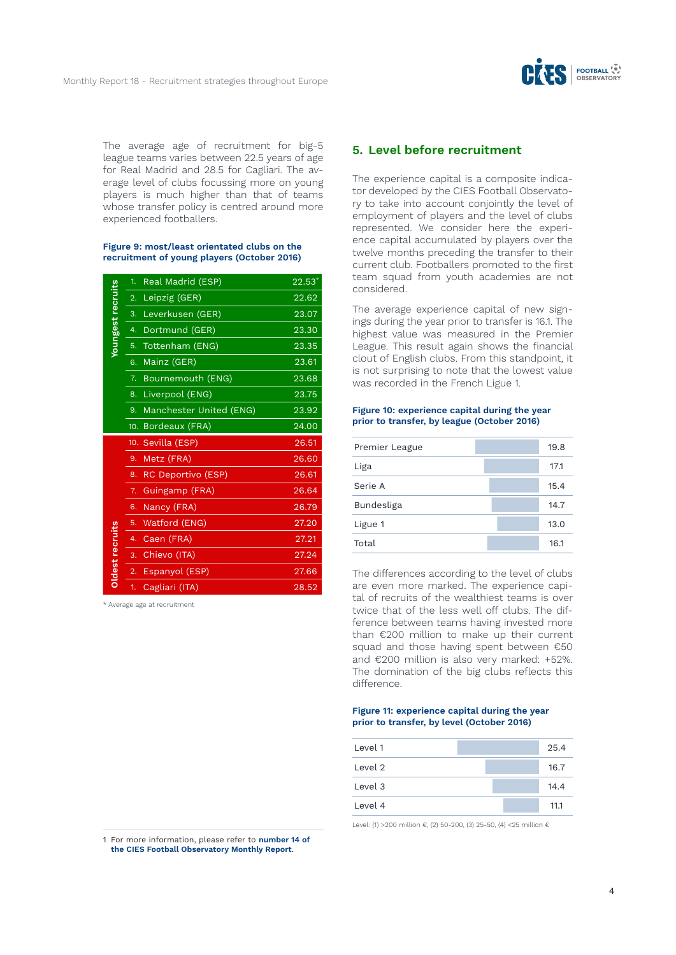

The average age of recruitment for big-5 league teams varies between 22.5 years of age for Real Madrid and 28.5 for Cagliari. The average level of clubs focussing more on young players is much higher than that of teams whose transfer policy is centred around more experienced footballers.

#### **Figure 9: most/least orientated clubs on the recruitment of young players (October 2016)**

|                   | 1.               | Real Madrid (ESP)       | $22.53*$ |
|-------------------|------------------|-------------------------|----------|
| Youngest recruits | 2.               | Leipzig (GER)           | 22.62    |
|                   | 3.               | Leverkusen (GER)        | 23.07    |
|                   | 4.               | Dortmund (GER)          | 23.30    |
|                   | 5.               | Tottenham (ENG)         | 23.35    |
|                   | 6.               | Mainz (GER)             | 23.61    |
|                   | 7.               | Bournemouth (ENG)       | 23.68    |
|                   | 8.               | Liverpool (ENG)         | 23.75    |
|                   | 9.               | Manchester United (ENG) | 23.92    |
|                   |                  | 10. Bordeaux (FRA)      | 24.00    |
|                   |                  |                         |          |
|                   |                  | 10. Sevilla (ESP)       | 26.51    |
|                   | 9.               | Metz (FRA)              | 26.60    |
|                   | 8.               | RC Deportivo (ESP)      | 26.61    |
|                   | 7.               | Guingamp (FRA)          | 26.64    |
|                   | 6.               | Nancy (FRA)             | 26.79    |
|                   | 5.               | Watford (ENG)           | 27.20    |
|                   | 4.               | Caen (FRA)              | 27.21    |
|                   | 3.               | Chievo (ITA)            | 27.24    |
| Oldest recruits   | $\overline{2}$ . | Espanyol (ESP)          | 27.66    |

\* Average age at recruitment

#### 1 For more information, please refer to **number 14 of the CIES Football Observatory Monthly Report**.

### **5. Level before recruitment**

The experience capital is a composite indicator developed by the CIES Football Observatory to take into account conjointly the level of employment of players and the level of clubs represented. We consider here the experience capital accumulated by players over the twelve months preceding the transfer to their current club. Footballers promoted to the first team squad from youth academies are not considered.

The average experience capital of new signings during the year prior to transfer is 16.1. The highest value was measured in the Premier League. This result again shows the financial clout of English clubs. From this standpoint, it is not surprising to note that the lowest value was recorded in the French Ligue 1.

#### **Figure 10: experience capital during the year prior to transfer, by league (October 2016)**

| Premier League | 19.8 |
|----------------|------|
| Liga           | 17.1 |
| Serie A        | 15.4 |
| Bundesliga     | 14.7 |
| Ligue 1        | 13.0 |
| Total          | 16.1 |

The differences according to the level of clubs are even more marked. The experience capital of recruits of the wealthiest teams is over twice that of the less well off clubs. The difference between teams having invested more than €200 million to make up their current squad and those having spent between €50 and €200 million is also very marked: +52%. The domination of the big clubs reflects this difference.

#### **Figure 11: experience capital during the year prior to transfer, by level (October 2016)**

| Level 1 | 25.4 |
|---------|------|
| Level 2 | 16.7 |
| Level 3 | 14.4 |
| Level 4 | 11.1 |

Level: (1) >200 million €, (2) 50-200, (3) 25-50, (4) <25 million €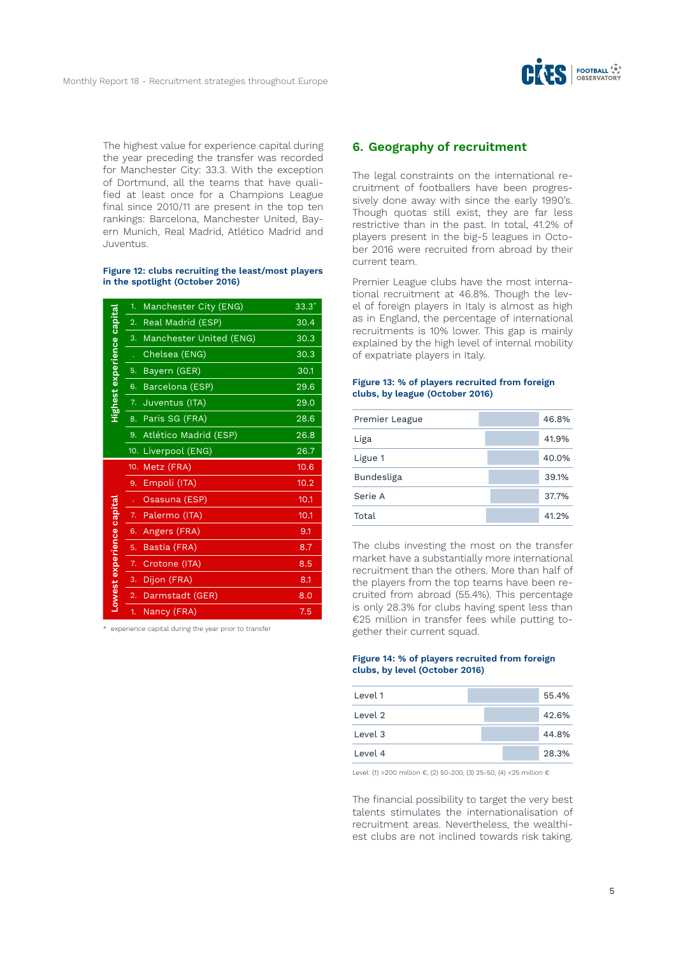

The highest value for experience capital during the year preceding the transfer was recorded for Manchester City: 33.3. With the exception of Dortmund, all the teams that have qualified at least once for a Champions League final since 2010/11 are present in the top ten rankings: Barcelona, Manchester United, Bayern Munich, Real Madrid, Atlético Madrid and Juventus.

#### **Figure 12: clubs recruiting the least/most players in the spotlight (October 2016)**

|                            | 1. | Manchester City (ENG)   | $33.3*$ |
|----------------------------|----|-------------------------|---------|
|                            | 2. | Real Madrid (ESP)       | 30.4    |
|                            | 3. | Manchester United (ENG) | 30.3    |
|                            | l, | Chelsea (ENG)           | 30.3    |
|                            | 5. | Bayern (GER)            | 30.1    |
|                            | 6. | Barcelona (ESP)         | 29.6    |
| Highest experience capital | 7. | Juventus (ITA)          | 29.0    |
|                            | 8. | Paris SG (FRA)          | 28.6    |
|                            | 9. | Atlético Madrid (ESP)   | 26.8    |
|                            |    | 10. Liverpool (ENG)     | 26.7    |
|                            |    |                         |         |
|                            |    | 10. Metz (FRA)          | 10.6    |
|                            | 9. | Empoli (ITA)            | 10.2    |
|                            |    | Osasuna (ESP)           | 10.1    |
|                            | 7. | Palermo (ITA)           | 10.1    |
|                            | 6. | Angers (FRA)            | 9.1     |
|                            | 5. | Bastia (FRA)            | 8.7     |
|                            | 7. | Crotone (ITA)           | 8.5     |
|                            | 3. | Dijon (FRA)             | 8.1     |
| Lowest experience capital  | 2. | Darmstadt (GER)         | 8.0     |

\* experience capital during the year prior to transfer

## **6. Geography of recruitment**

The legal constraints on the international recruitment of footballers have been progressively done away with since the early 1990's. Though quotas still exist, they are far less restrictive than in the past. In total, 41.2% of players present in the big-5 leagues in October 2016 were recruited from abroad by their current team.

Premier League clubs have the most international recruitment at 46.8%. Though the level of foreign players in Italy is almost as high as in England, the percentage of international recruitments is 10% lower. This gap is mainly explained by the high level of internal mobility of expatriate players in Italy.

#### **Figure 13: % of players recruited from foreign clubs, by league (October 2016)**

| Premier League | 46.8% |
|----------------|-------|
| Liga           | 41.9% |
| Ligue 1        | 40.0% |
| Bundesliga     | 39.1% |
| Serie A        | 37.7% |
| Total          | 41.2% |

The clubs investing the most on the transfer market have a substantially more international recruitment than the others. More than half of the players from the top teams have been recruited from abroad (55.4%). This percentage is only 28.3% for clubs having spent less than €25 million in transfer fees while putting together their current squad.

#### **Figure 14: % of players recruited from foreign clubs, by level (October 2016)**

| Level 1 | 55.4% |
|---------|-------|
| Level 2 | 42.6% |
| Level 3 | 44.8% |
| Level 4 | 28.3% |
|         |       |

Level: (1) >200 million €, (2) 50-200, (3) 25-50, (4) <25 million €

The financial possibility to target the very best talents stimulates the internationalisation of recruitment areas. Nevertheless, the wealthiest clubs are not inclined towards risk taking.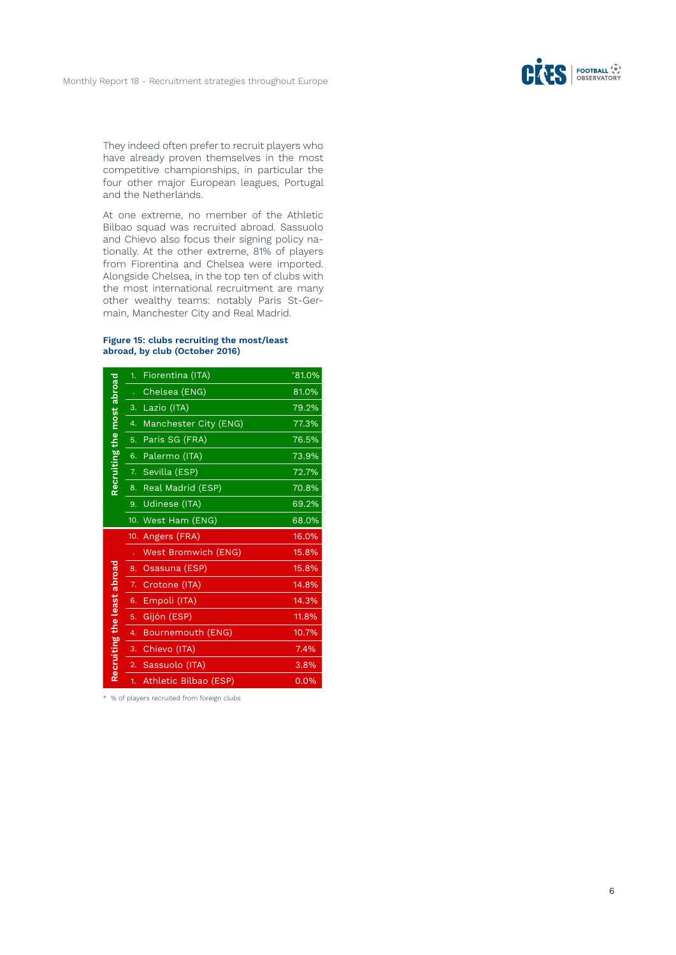

They indeed often prefer to recruit players who have already proven themselves in the most competitive championships, in particular the four other major European leagues, Portugal and the Netherlands.

At one extreme, no member of the Athletic Bilbao squad was recruited abroad. Sassuolo and Chievo also focus their signing policy na tionally. At the other extreme, 81% of players from Fiorentina and Chelsea were imported. Alongside Chelsea, in the top ten of clubs with the most international recruitment are many other wealthy teams: notably Paris St-Ger main, Manchester City and Real Madrid.

#### **Figure 15: clubs recruiting the most/least abroad, by club (October 2016)**

|                             | 1. | Fiorentina (ITA)      | $*81.0\%$ |
|-----------------------------|----|-----------------------|-----------|
|                             |    | Chelsea (ENG)         | 81.0%     |
|                             | 3. | Lazio (ITA)           | 79.2%     |
|                             | 4. | Manchester City (ENG) | 77.3%     |
|                             | 5. | Paris SG (FRA)        | 76.5%     |
|                             | 6. | Palermo (ITA)         | 73.9%     |
|                             | 7. | Sevilla (ESP)         | 72.7%     |
| Recruiting the most abroad  | 8. | Real Madrid (ESP)     | 70.8%     |
|                             | 9. | Udinese (ITA)         | 69.2%     |
|                             |    | 10. West Ham (ENG)    | 68.0%     |
|                             |    |                       |           |
|                             |    | 10. Angers (FRA)      | 16.0%     |
|                             |    | West Bromwich (ENG)   | 15.8%     |
|                             | 8. | Osasuna (ESP)         | 15.8%     |
|                             | 7. | Crotone (ITA)         | 14.8%     |
|                             | 6. | Empoli (ITA)          | 14.3%     |
|                             | 5. | Gijón (ESP)           | 11.8%     |
|                             | 4. | Bournemouth (ENG)     | 10.7%     |
|                             | 3. | Chievo (ITA)          | 7.4%      |
| Recruiting the least abroad | 2. | Sassuolo (ITA)        | 3.8%      |

\* % of players recruited from foreign clubs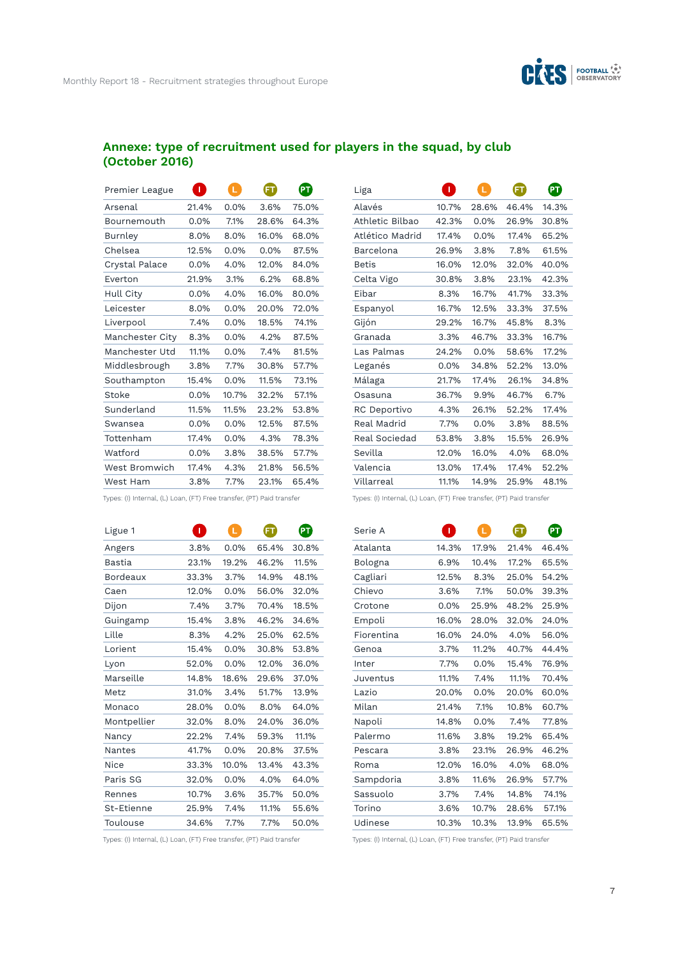

 $\bullet$ 

# **Annexe: type of recruitment used for players in the squad, by club (October 2016)**

| Premier League  | Г       | L       | (FT   | PT)   |
|-----------------|---------|---------|-------|-------|
| Arsenal         | 21.4%   | 0.0%    | 3.6%  | 75.0% |
| Bournemouth     | $0.0\%$ | 7.1%    | 28.6% | 64.3% |
| Burnley         | 8.0%    | 8.0%    | 16.0% | 68.0% |
| Chelsea         | 12.5%   | 0.0%    | 0.0%  | 87.5% |
| Crystal Palace  | $0.0\%$ | 4.0%    | 12.0% | 84.0% |
| Everton         | 21.9%   | 3.1%    | 6.2%  | 68.8% |
| Hull City       | $0.0\%$ | 4.0%    | 16.0% | 80.0% |
| Leicester       | 8.0%    | 0.0%    | 20.0% | 72.0% |
| Liverpool       | 7.4%    | $0.0\%$ | 18.5% | 74.1% |
| Manchester City | 8.3%    | $0.0\%$ | 4.2%  | 87.5% |
| Manchester Utd  | 11.1%   | $0.0\%$ | 7.4%  | 81.5% |
| Middlesbrough   | 3.8%    | 7.7%    | 30.8% | 57.7% |
| Southampton     | 15.4%   | $0.0\%$ | 11.5% | 73.1% |
| Stoke           | $0.0\%$ | 10.7%   | 32.2% | 57.1% |
| Sunderland      | 11.5%   | 11.5%   | 23.2% | 53.8% |
| Swansea         | $0.0\%$ | 0.0%    | 12.5% | 87.5% |
| Tottenham       | 17.4%   | $0.0\%$ | 4.3%  | 78.3% |
| Watford         | 0.0%    | 3.8%    | 38.5% | 57.7% |
| West Bromwich   | 17.4%   | 4.3%    | 21.8% | 56.5% |
| West Ham        | 3.8%    | 7.7%    | 23.1% | 65.4% |

| Liga            | T       | L       | FT    | PT    |
|-----------------|---------|---------|-------|-------|
| Alayés          | 10.7%   | 28.6%   | 46.4% | 14.3% |
| Athletic Bilbao | 42.3%   | 0.0%    | 26.9% | 30.8% |
| Atlético Madrid | 17.4%   | $0.0\%$ | 17.4% | 65.2% |
| Barcelona       | 26.9%   | 3.8%    | 7.8%  | 61.5% |
| <b>Betis</b>    | 16.0%   | 12.0%   | 32.0% | 40.0% |
| Celta Vigo      | 30.8%   | 3.8%    | 23.1% | 42.3% |
| Eibar           | 8.3%    | 16.7%   | 41.7% | 33.3% |
| Espanyol        | 16.7%   | 12.5%   | 33.3% | 37.5% |
| Gijón           | 29.2%   | 16.7%   | 45.8% | 8.3%  |
| Granada         | 3.3%    | 46.7%   | 33.3% | 16.7% |
| Las Palmas      | 24.2%   | $0.0\%$ | 58.6% | 17.2% |
| Leganés         | $0.0\%$ | 34.8%   | 52.2% | 13.0% |
| Málaga          | 21.7%   | 17.4%   | 26.1% | 34.8% |
| Osasuna         | 36.7%   | 9.9%    | 46.7% | 6.7%  |
| RC Deportivo    | 4.3%    | 26.1%   | 52.2% | 17.4% |
| Real Madrid     | 7.7%    | 0.0%    | 3.8%  | 88.5% |
| Real Sociedad   | 53.8%   | 3.8%    | 15.5% | 26.9% |
| Sevilla         | 12.0%   | 16.0%   | 4.0%  | 68.0% |
| Valencia        | 13.0%   | 17.4%   | 17.4% | 52.2% |
| Villarreal      | 11.1%   | 14.9%   | 25.9% | 48.1% |

Types: (I) Internal, (L) Loan, (FT) Free transfer, (PT) Paid transfer

| Ligue 1         | T     | L       |       | PT    |
|-----------------|-------|---------|-------|-------|
| Angers          | 3.8%  | 0.0%    | 65.4% | 30.8% |
| Bastia          | 23.1% | 19.2%   | 46.2% | 11.5% |
| <b>Bordeaux</b> | 33.3% | 3.7%    | 14.9% | 48.1% |
| Caen            | 12.0% | 0.0%    | 56.0% | 32.0% |
| Dijon           | 7.4%  | 3.7%    | 70.4% | 18.5% |
| Guingamp        | 15.4% | 3.8%    | 46.2% | 34.6% |
| Lille           | 8.3%  | 4.2%    | 25.0% | 62.5% |
| Lorient         | 15.4% | $0.0\%$ | 30.8% | 53.8% |
| Lyon            | 52.0% | 0.0%    | 12.0% | 36.0% |
| Marseille       | 14.8% | 18.6%   | 29.6% | 37.0% |
| Metz            | 31.0% | 3.4%    | 51.7% | 13.9% |
| Monaco          | 28.0% | $0.0\%$ | 8.0%  | 64.0% |
| Montpellier     | 32.0% | 8.0%    | 24.0% | 36.0% |
| Nancy           | 22.2% | 7.4%    | 59.3% | 11.1% |
| <b>Nantes</b>   | 41.7% | 0.0%    | 20.8% | 37.5% |
| Nice            | 33.3% | 10.0%   | 13.4% | 43.3% |
| Paris SG        | 32.0% | $0.0\%$ | 4.0%  | 64.0% |
| Rennes          | 10.7% | 3.6%    | 35.7% | 50.0% |
| St-Etienne      | 25.9% | 7.4%    | 11.1% | 55.6% |
| Toulouse        | 34.6% | 7.7%    | 7.7%  | 50.0% |

Types: (I) Internal, (L) Loan, (FT) Free transfer, (PT) Paid transfer

Types: (I) Internal, (L) Loan, (FT) Free transfer, (PT) Paid transfer

| Serie A    | 0     | L.    | FT    | PT    |
|------------|-------|-------|-------|-------|
| Atalanta   | 14.3% | 17.9% | 21.4% | 46.4% |
| Bologna    | 6.9%  | 10.4% | 17.2% | 65.5% |
| Cagliari   | 12.5% | 8.3%  | 25.0% | 54.2% |
| Chievo     | 3.6%  | 7.1%  | 50.0% | 39.3% |
| Crotone    | 0.0%  | 25.9% | 48.2% | 25.9% |
| Empoli     | 16.0% | 28.0% | 32.0% | 24.0% |
| Fiorentina | 16.0% | 24.0% | 4.0%  | 56.0% |
| Genoa      | 3.7%  | 11.2% | 40.7% | 44.4% |
| Inter      | 7.7%  | 0.0%  | 15.4% | 76.9% |
| Juventus   | 11.1% | 7.4%  | 11.1% | 70.4% |
| Lazio      | 20.0% | 0.0%  | 20.0% | 60.0% |
| Milan      | 21.4% | 7.1%  | 10.8% | 60.7% |
| Napoli     | 14.8% | 0.0%  | 7.4%  | 77.8% |
| Palermo    | 11.6% | 3.8%  | 19.2% | 65.4% |
| Pescara    | 3.8%  | 23.1% | 26.9% | 46.2% |
| Roma       | 12.0% | 16.0% | 4.0%  | 68.0% |
| Sampdoria  | 3.8%  | 11.6% | 26.9% | 57.7% |
| Sassuolo   | 3.7%  | 7.4%  | 14.8% | 74.1% |
| Torino     | 3.6%  | 10.7% | 28.6% | 57.1% |
| Udinese    | 10.3% | 10.3% | 13.9% | 65.5% |

Types: (I) Internal, (L) Loan, (FT) Free transfer, (PT) Paid transfer